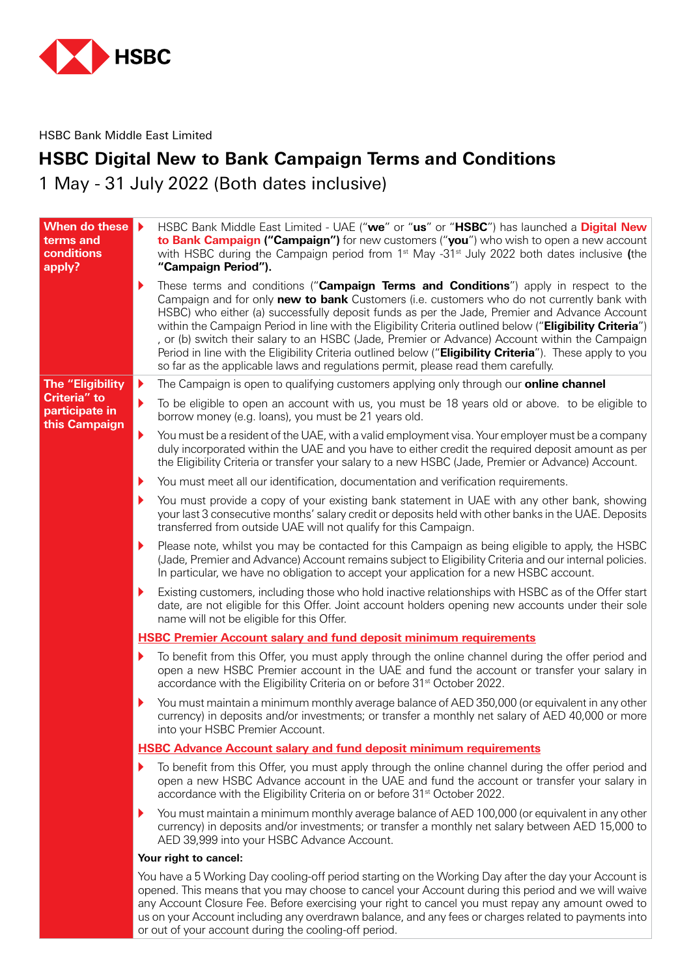

HSBC Bank Middle East Limited

## **HSBC Digital New to Bank Campaign Terms and Conditions**

1 May - 31 July 2022 (Both dates inclusive)

| When do these<br>terms and<br>conditions<br>apply?                         | HSBC Bank Middle East Limited - UAE ("we" or "us" or "HSBC") has launched a Digital New<br>to Bank Campaign ("Campaign") for new customers ("you") who wish to open a new account<br>with HSBC during the Campaign period from $1st$ May -31 $st$ July 2022 both dates inclusive (the<br>"Campaign Period").                                                                                                                                                                                                                                                                                                                                                                                           |
|----------------------------------------------------------------------------|--------------------------------------------------------------------------------------------------------------------------------------------------------------------------------------------------------------------------------------------------------------------------------------------------------------------------------------------------------------------------------------------------------------------------------------------------------------------------------------------------------------------------------------------------------------------------------------------------------------------------------------------------------------------------------------------------------|
|                                                                            | ▶<br>These terms and conditions ("Campaign Terms and Conditions") apply in respect to the<br>Campaign and for only new to bank Customers (i.e. customers who do not currently bank with<br>HSBC) who either (a) successfully deposit funds as per the Jade, Premier and Advance Account<br>within the Campaign Period in line with the Eligibility Criteria outlined below ("Eligibility Criteria")<br>, or (b) switch their salary to an HSBC (Jade, Premier or Advance) Account within the Campaign<br>Period in line with the Eligibility Criteria outlined below ("Eligibility Criteria"). These apply to you<br>so far as the applicable laws and regulations permit, please read them carefully. |
| <b>The "Eligibility</b><br>Criteria" to<br>participate in<br>this Campaign | The Campaign is open to qualifying customers applying only through our <b>online channel</b><br>▶                                                                                                                                                                                                                                                                                                                                                                                                                                                                                                                                                                                                      |
|                                                                            | To be eligible to open an account with us, you must be 18 years old or above. to be eligible to<br>▶<br>borrow money (e.g. loans), you must be 21 years old.                                                                                                                                                                                                                                                                                                                                                                                                                                                                                                                                           |
|                                                                            | ▶<br>You must be a resident of the UAE, with a valid employment visa. Your employer must be a company<br>duly incorporated within the UAE and you have to either credit the required deposit amount as per<br>the Eligibility Criteria or transfer your salary to a new HSBC (Jade, Premier or Advance) Account.                                                                                                                                                                                                                                                                                                                                                                                       |
|                                                                            | You must meet all our identification, documentation and verification requirements.<br>▶                                                                                                                                                                                                                                                                                                                                                                                                                                                                                                                                                                                                                |
|                                                                            | You must provide a copy of your existing bank statement in UAE with any other bank, showing<br>▶<br>your last 3 consecutive months' salary credit or deposits held with other banks in the UAE. Deposits<br>transferred from outside UAE will not qualify for this Campaign.                                                                                                                                                                                                                                                                                                                                                                                                                           |
|                                                                            | Please note, whilst you may be contacted for this Campaign as being eligible to apply, the HSBC<br>▶<br>(Jade, Premier and Advance) Account remains subject to Eligibility Criteria and our internal policies.<br>In particular, we have no obligation to accept your application for a new HSBC account.                                                                                                                                                                                                                                                                                                                                                                                              |
|                                                                            | Existing customers, including those who hold inactive relationships with HSBC as of the Offer start<br>▶<br>date, are not eligible for this Offer. Joint account holders opening new accounts under their sole<br>name will not be eligible for this Offer.                                                                                                                                                                                                                                                                                                                                                                                                                                            |
|                                                                            | <b>HSBC Premier Account salary and fund deposit minimum requirements</b>                                                                                                                                                                                                                                                                                                                                                                                                                                                                                                                                                                                                                               |
|                                                                            | To benefit from this Offer, you must apply through the online channel during the offer period and<br>▶<br>open a new HSBC Premier account in the UAE and fund the account or transfer your salary in<br>accordance with the Eligibility Criteria on or before 31 <sup>st</sup> October 2022.                                                                                                                                                                                                                                                                                                                                                                                                           |
|                                                                            | You must maintain a minimum monthly average balance of AED 350,000 (or equivalent in any other<br>▶<br>currency) in deposits and/or investments; or transfer a monthly net salary of AED 40,000 or more<br>into your HSBC Premier Account.                                                                                                                                                                                                                                                                                                                                                                                                                                                             |
|                                                                            | <b>HSBC Advance Account salary and fund deposit minimum requirements</b>                                                                                                                                                                                                                                                                                                                                                                                                                                                                                                                                                                                                                               |
|                                                                            | To benefit from this Offer, you must apply through the online channel during the offer period and<br>▶<br>open a new HSBC Advance account in the UAE and fund the account or transfer your salary in<br>accordance with the Eligibility Criteria on or before 31 <sup>st</sup> October 2022.                                                                                                                                                                                                                                                                                                                                                                                                           |
|                                                                            | You must maintain a minimum monthly average balance of AED 100,000 (or equivalent in any other<br>▶<br>currency) in deposits and/or investments; or transfer a monthly net salary between AED 15,000 to<br>AED 39,999 into your HSBC Advance Account.                                                                                                                                                                                                                                                                                                                                                                                                                                                  |
|                                                                            | Your right to cancel:                                                                                                                                                                                                                                                                                                                                                                                                                                                                                                                                                                                                                                                                                  |
|                                                                            | You have a 5 Working Day cooling-off period starting on the Working Day after the day your Account is<br>opened. This means that you may choose to cancel your Account during this period and we will waive<br>any Account Closure Fee. Before exercising your right to cancel you must repay any amount owed to                                                                                                                                                                                                                                                                                                                                                                                       |

us on your Account including any overdrawn balance, and any fees or charges related to payments into

or out of your account during the cooling-off period.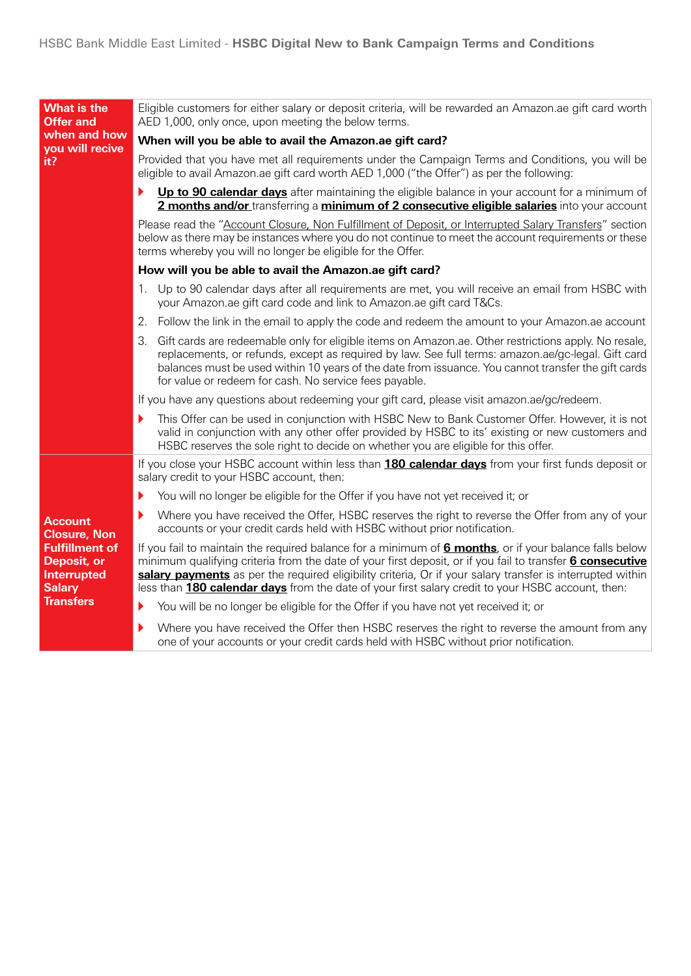| <b>What is the</b><br><b>Offer and</b>                                                                                                   | Eligible customers for either salary or deposit criteria, will be rewarded an Amazon ae gift card worth<br>AED 1,000, only once, upon meeting the below terms.                                                                                                                                                                                                                                                                                 |  |  |  |  |  |  |
|------------------------------------------------------------------------------------------------------------------------------------------|------------------------------------------------------------------------------------------------------------------------------------------------------------------------------------------------------------------------------------------------------------------------------------------------------------------------------------------------------------------------------------------------------------------------------------------------|--|--|--|--|--|--|
| when and how<br>you will recive                                                                                                          | When will you be able to avail the Amazon.ae gift card?                                                                                                                                                                                                                                                                                                                                                                                        |  |  |  |  |  |  |
| it?                                                                                                                                      | Provided that you have met all requirements under the Campaign Terms and Conditions, you will be<br>eligible to avail Amazon.ae gift card worth AED 1,000 ("the Offer") as per the following:                                                                                                                                                                                                                                                  |  |  |  |  |  |  |
|                                                                                                                                          | Up to 90 calendar days after maintaining the eligible balance in your account for a minimum of<br>Þ<br>2 months and/or transferring a minimum of 2 consecutive eligible salaries into your account                                                                                                                                                                                                                                             |  |  |  |  |  |  |
|                                                                                                                                          | Please read the "Account Closure, Non Fulfillment of Deposit, or Interrupted Salary Transfers" section<br>below as there may be instances where you do not continue to meet the account requirements or these<br>terms whereby you will no longer be eligible for the Offer.                                                                                                                                                                   |  |  |  |  |  |  |
|                                                                                                                                          | How will you be able to avail the Amazon.ae gift card?                                                                                                                                                                                                                                                                                                                                                                                         |  |  |  |  |  |  |
|                                                                                                                                          | 1. Up to 90 calendar days after all requirements are met, you will receive an email from HSBC with<br>your Amazon.ae gift card code and link to Amazon.ae gift card T&Cs.                                                                                                                                                                                                                                                                      |  |  |  |  |  |  |
|                                                                                                                                          | Follow the link in the email to apply the code and redeem the amount to your Amazon.ae account<br>2.                                                                                                                                                                                                                                                                                                                                           |  |  |  |  |  |  |
|                                                                                                                                          | 3.<br>Gift cards are redeemable only for eligible items on Amazon.ae. Other restrictions apply. No resale,<br>replacements, or refunds, except as required by law. See full terms: amazon.ae/gc-legal. Gift card<br>balances must be used within 10 years of the date from issuance. You cannot transfer the gift cards<br>for value or redeem for cash. No service fees payable.                                                              |  |  |  |  |  |  |
|                                                                                                                                          | If you have any questions about redeeming your gift card, please visit amazon.ae/gc/redeem.                                                                                                                                                                                                                                                                                                                                                    |  |  |  |  |  |  |
|                                                                                                                                          | This Offer can be used in conjunction with HSBC New to Bank Customer Offer. However, it is not<br>▶<br>valid in conjunction with any other offer provided by HSBC to its' existing or new customers and<br>HSBC reserves the sole right to decide on whether you are eligible for this offer.                                                                                                                                                  |  |  |  |  |  |  |
|                                                                                                                                          | If you close your HSBC account within less than <b>180 calendar days</b> from your first funds deposit or<br>salary credit to your HSBC account, then:                                                                                                                                                                                                                                                                                         |  |  |  |  |  |  |
|                                                                                                                                          | You will no longer be eligible for the Offer if you have not yet received it; or<br>▶                                                                                                                                                                                                                                                                                                                                                          |  |  |  |  |  |  |
| <b>Account</b><br><b>Closure, Non</b><br><b>Fulfillment of</b><br>Deposit, or<br><b>Interrupted</b><br><b>Salary</b><br><b>Transfers</b> | Where you have received the Offer, HSBC reserves the right to reverse the Offer from any of your<br>▶<br>accounts or your credit cards held with HSBC without prior notification.                                                                                                                                                                                                                                                              |  |  |  |  |  |  |
|                                                                                                                                          | If you fail to maintain the required balance for a minimum of <b>6 months</b> , or if your balance falls below<br>minimum qualifying criteria from the date of your first deposit, or if you fail to transfer 6 consecutive<br>salary payments as per the required eligibility criteria, Or if your salary transfer is interrupted within<br>less than 180 calendar days from the date of your first salary credit to your HSBC account, then: |  |  |  |  |  |  |
|                                                                                                                                          | You will be no longer be eligible for the Offer if you have not yet received it; or<br>▶                                                                                                                                                                                                                                                                                                                                                       |  |  |  |  |  |  |
|                                                                                                                                          | Where you have received the Offer then HSBC reserves the right to reverse the amount from any<br>▶<br>one of your accounts or your credit cards held with HSBC without prior notification.                                                                                                                                                                                                                                                     |  |  |  |  |  |  |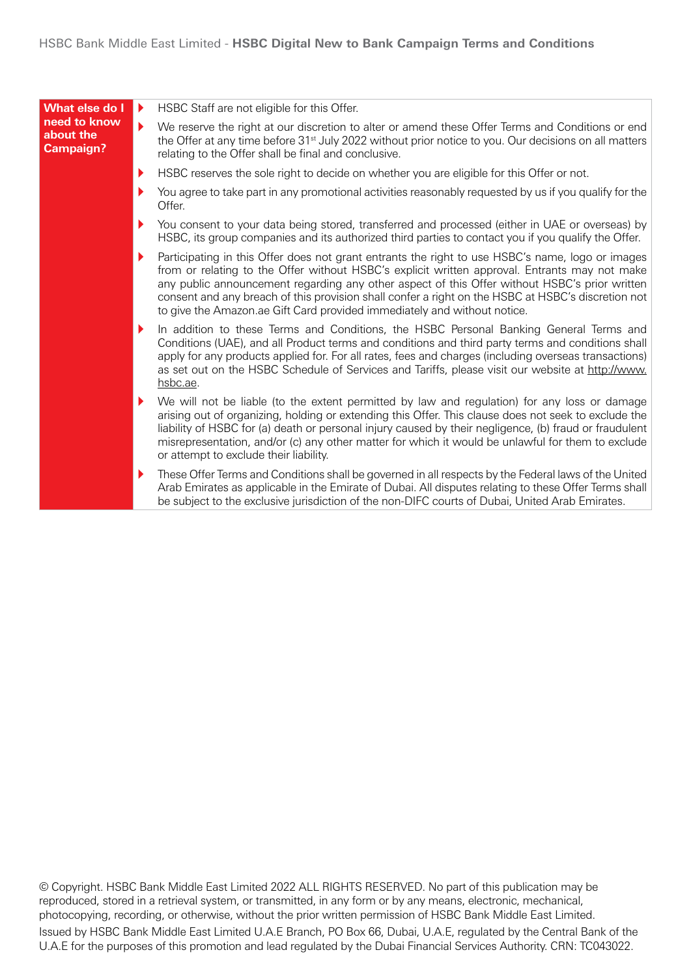| What else do I                                | Þ. | HSBC Staff are not eligible for this Offer.                                                                                                                                                                                                                                                                                                                                                                                                                                          |
|-----------------------------------------------|----|--------------------------------------------------------------------------------------------------------------------------------------------------------------------------------------------------------------------------------------------------------------------------------------------------------------------------------------------------------------------------------------------------------------------------------------------------------------------------------------|
| need to know<br>about the<br><b>Campaign?</b> | ▶  | We reserve the right at our discretion to alter or amend these Offer Terms and Conditions or end<br>the Offer at any time before 31 <sup>st</sup> July 2022 without prior notice to you. Our decisions on all matters<br>relating to the Offer shall be final and conclusive.                                                                                                                                                                                                        |
|                                               | Þ. | HSBC reserves the sole right to decide on whether you are eligible for this Offer or not.                                                                                                                                                                                                                                                                                                                                                                                            |
|                                               | Þ. | You agree to take part in any promotional activities reasonably requested by us if you qualify for the<br>Offer.                                                                                                                                                                                                                                                                                                                                                                     |
|                                               | Þ. | You consent to your data being stored, transferred and processed (either in UAE or overseas) by<br>HSBC, its group companies and its authorized third parties to contact you if you qualify the Offer.                                                                                                                                                                                                                                                                               |
|                                               | Þ. | Participating in this Offer does not grant entrants the right to use HSBC's name, logo or images<br>from or relating to the Offer without HSBC's explicit written approval. Entrants may not make<br>any public announcement regarding any other aspect of this Offer without HSBC's prior written<br>consent and any breach of this provision shall confer a right on the HSBC at HSBC's discretion not<br>to give the Amazon.ae Gift Card provided immediately and without notice. |
|                                               | Þ. | In addition to these Terms and Conditions, the HSBC Personal Banking General Terms and<br>Conditions (UAE), and all Product terms and conditions and third party terms and conditions shall<br>apply for any products applied for. For all rates, fees and charges (including overseas transactions)<br>as set out on the HSBC Schedule of Services and Tariffs, please visit our website at http://www.<br>hsbc.ae.                                                                 |
|                                               | Þ. | We will not be liable (to the extent permitted by law and regulation) for any loss or damage<br>arising out of organizing, holding or extending this Offer. This clause does not seek to exclude the<br>liability of HSBC for (a) death or personal injury caused by their negligence, (b) fraud or fraudulent<br>misrepresentation, and/or (c) any other matter for which it would be unlawful for them to exclude<br>or attempt to exclude their liability.                        |
|                                               | Þ. | These Offer Terms and Conditions shall be governed in all respects by the Federal laws of the United<br>Arab Emirates as applicable in the Emirate of Dubai. All disputes relating to these Offer Terms shall<br>be subject to the exclusive jurisdiction of the non-DIFC courts of Dubai, United Arab Emirates.                                                                                                                                                                     |

© Copyright. HSBC Bank Middle East Limited 2022 ALL RIGHTS RESERVED. No part of this publication may be reproduced, stored in a retrieval system, or transmitted, in any form or by any means, electronic, mechanical, photocopying, recording, or otherwise, without the prior written permission of HSBC Bank Middle East Limited. Issued by HSBC Bank Middle East Limited U.A.E Branch, PO Box 66, Dubai, U.A.E, regulated by the Central Bank of the U.A.E for the purposes of this promotion and lead regulated by the Dubai Financial Services Authority. CRN: TC043022.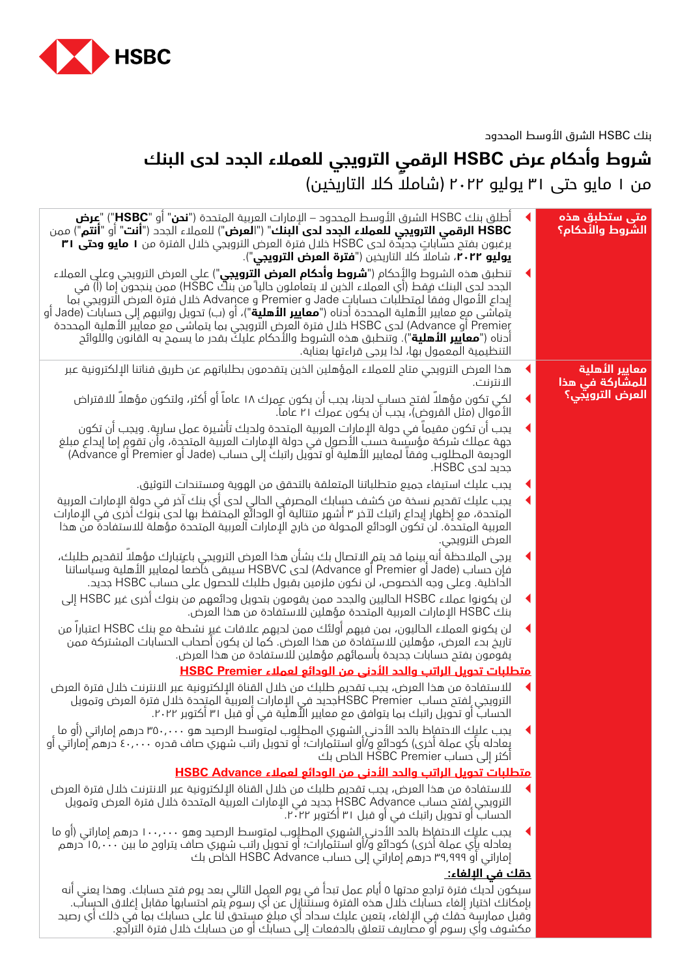

## بنك HSBC الشرق األوسط المحدود

## **شروط وأحكام عرض HSBC الرقمي الترويجي للعمالء الجدد لدى البنك** من ۱ مايو حتى ۳۱ يوليو ۲۰۲۲ (شاملاً كلا التاريخين)

| آطلق بنك HSBC الشرق الأوسط المحدود – الإمارات العربية المتحدة (" <b>نحن</b> " أو " <b>HSBC"</b> ) " <b>عرض</b><br>HSBC الرقمي الترويجي للعملاء الجدد لدى البنك" ("العرض") للعملاء الجدد ("أنت" أو "أنتم") ممن<br>يرغبون بفتح حسّاباتٍ جديدة لدى HSBC خلال فترة العرض الترويجي خلال الفترة من <b>١ مايو وحتى ٣١</b><br><b>يوليو ٢٠٢٢</b> ، شاملا كلا التاريخين (" <b>فترة العرض الترويجي</b> ").                                                                                                                                                                                                                                                                             | متی ستطبق هذه<br>الشروط والأدكام؟ |
|-----------------------------------------------------------------------------------------------------------------------------------------------------------------------------------------------------------------------------------------------------------------------------------------------------------------------------------------------------------------------------------------------------------------------------------------------------------------------------------------------------------------------------------------------------------------------------------------------------------------------------------------------------------------------------|-----------------------------------|
| تنطبق هذه الشروط والأِحكام (" <b>شروط وأحكام العرض الترويجي</b> ") على العرض الترويجي وعلي العملاء<br>الجحد لحي البنك فِقط (أي العملاء الذين لا يتعاملون حالياً من بنكُ HSBC) ممن ينجحون إما (أ) في<br>إيداع الأموال وفقا لمتطلبات حساباتِ Jade و Advance و Advance خلال فترة العرض الترويجي بُما<br>يُتماشَى مع معايير الأهلية المحددة أدناه (" <b>معايير الأهلية</b> ")، أو (ب) تحويل رواتبهم إلى حسابات (Jade أو<br>Premier أو Advance لدى HSBC خلال فترة العرض الترويجي بما يتماشى مع معايير الأهلية المحددة<br>أدناه (" <b>معايير الأهلية</b> "). وتنطبق هذه الشروط والأحكام عليكٌ بقدر ما يسمح به القانون واللوائح<br>التنظيمية المعمول بها، لذا يرجى قراءتها بعناية. |                                   |
| هذا العرض الترويجي متاح للعملاء المؤهلين الذين يتقدمون بطلباتهم عن طريق قناتنا الإلكترونية عبر<br>الانترنت.                                                                                                                                                                                                                                                                                                                                                                                                                                                                                                                                                                 | معايير الأهلية<br>للمشاركة في هذا |
| لكِي تكون مؤهلا لفتح حسابٍ لحينا، يجب أن يكون عمِرك ١٨ عاماً أو أكثر، ولتكون مؤهلاً للاقتراض<br>الأموال (مثل القروض)، يجب أن يكون عمرك ٢١ عاما.                                                                                                                                                                                                                                                                                                                                                                                                                                                                                                                             | <mark>العرض الترويجي؟</mark>      |
| يجب أن تكون مقيما في حولة الإمارات العربية المتحدة ولديك تأشيرة عمل سارية. ويجب أن تكون<br>جهة عملك شركة مؤسيِّسة حسبُ الأصول في دولة الإمارات العربية المتحدة، وأن تقومِ إما إيداع مبلغ<br>الوديعة المطلوب وفقا لمعايير الأهلية أو تحويل راتبكَ إلى حساب (Jade أو Premier أو Advance)<br>جدید لدی HSBC.                                                                                                                                                                                                                                                                                                                                                                    |                                   |
| يجب عليك استيفاء جميع متطلباتنا المتعلقة بالتحقق من الهوية ومستندات التوثيق.                                                                                                                                                                                                                                                                                                                                                                                                                                                                                                                                                                                                |                                   |
| يجب عليك تقحيم نسخة من كشف حسٍابك المصرفي الحالي لدى أي بنك آخر في حولةِ الإمارات العربية<br>المتحدة، مع إظهار إيداع راتبك لآخر ٣ أشهر متتالية أوّ الودائع المحتفظ بها لدى بنوك أخرى في الإمارات<br>العربية المتحدة. لن تكون الودائع المحولة من خارج الإمارات العربية المتحدة مؤهلة للاستفادة من هذا<br>العرض الترويجي.                                                                                                                                                                                                                                                                                                                                                     |                                   |
| يرجى الملاحظة أنه ِبينما قد يتم الاتصال بك بشأن هذا العرض الترويجي باعتِبارك مؤهلا لتقديم طلبك،<br>فإن حساب (Jade أو Advance) الحي HSBVC سيبقى خاضعا لمعايير الأهلية وسياساتنا<br>الداخلية. وعلى وجه الخصوص، لن نكون ملزمين بقبول طلبك للحصول على حساب HSBC جديد.                                                                                                                                                                                                                                                                                                                                                                                                           |                                   |
| لن يكونوا عملاء HSBC الحاليين والجدد ممن يقومون بتحويل ودائعهم من بنوك آخري غير HSBC إلى<br>بنك HSBC الإمارات العربية المتحدة مؤهلين للاستفادة من هذا العرض.                                                                                                                                                                                                                                                                                                                                                                                                                                                                                                                |                                   |
| لن يكونو العملاء الحاليون، بمن فيهم أولئك ممن لديهم علاقات غير نشطة مع بنك HSBC اعتبارا من<br>تاريخ بدء العرض، مؤهلين للاستِفادة من هذا العرض. كما لن يكون أصحاب الحسابات المشتركة ممن<br>يقومون بفتح حسابات جحيدة بأسمائهم مؤهلين للاستفادة من هذا العرض.                                                                                                                                                                                                                                                                                                                                                                                                                  |                                   |
| <u> متطلبات تدويل الراتب والدد الأدني من الودائع لعملاء HSBC Premier</u>                                                                                                                                                                                                                                                                                                                                                                                                                                                                                                                                                                                                    |                                   |
| للاستفادة من هذا العرض، يجب تقحيم طلبك من خلال القناة الإلكترونية عبر الانترنت خلال فترة العرض<br>الترويجي لفتح حساب  HSBC Premierبحيد في الإمارات إلعربية المتحدة خلال فترة العرض وتمويل<br>الحسابُ او تحويل راتبك بما يتوافق مع معايير الأهلية في او قبل ٣١ اكتوبر ٢٠٢٢.                                                                                                                                                                                                                                                                                                                                                                                                  |                                   |
| يجب عليك الاحتفإظ بالحد الأدنى الشهري المطلوب لمتوسط الرصيد هو ٣٥٠,٠٠٠ درهم إماراتي (أو ما<br>بِعادله بأي عملة أخرى) كودائع و/أو استثمارات؛ أو تحويل راتب شهري صاف قدره ٤٠,٠٠٠ درهم َّإماراتي أو<br>أكثر إلى حساب HSBC Premier الخاص بك                                                                                                                                                                                                                                                                                                                                                                                                                                     |                                   |
| <u>متطلبات تحويل الراتب والحد الأدني من الودائع لعملاء HSBC Advance</u>                                                                                                                                                                                                                                                                                                                                                                                                                                                                                                                                                                                                     |                                   |
| للاستفادة من هذا العرض، يجب تقديم طلبك من خلال القناة الإلكترونية عبر الانترنت خلال فترة العرض<br>الترويجي ِلفتح حساب HSBC Adyance جديد في الإمارات العربية المتحدة خلال فترة العرض وتمويل<br>الحساب أو تحويل راتبك في أو قبل ٣١ أكتوبر ٢٠.٦.                                                                                                                                                                                                                                                                                                                                                                                                                               |                                   |
| يجب عليك الاحتفإظ بالحد الأدني الشهري المطلوب لمتوسط الرصيد وهو ١٠٠,٠٠٠ درهم إماراتي (أو ما<br>يعادله بِأي عملة أخرى) كودائع وآأو استثمارات؛ أو تحويل راتب شهري صاف يتراوح ما بين ١٥,٠٠٠ درهم<br>إماراتي أو ٣٩,٩٩٩ درهم إماراتي إلى حساب HSBC Advance الخاص بك                                                                                                                                                                                                                                                                                                                                                                                                              |                                   |
| <u>دقك في الإلغاء: </u>                                                                                                                                                                                                                                                                                                                                                                                                                                                                                                                                                                                                                                                     |                                   |
| سيكون لديك فترة تراجع محتها ٥ أيام عمل تبدأ في يوم العمل التالي بعد يوم فتح حسابك. وهذا يعني أنه<br>بإمكانك اختيار إلغاء حسابك خلال هذه الفترة وسنتنازل عن أي رسوم يتم احتسابها مقابل إغلاق الحساب.<br>وُقبل ممارسِة حقك فِي الإلغاء، يتعين عليك سداد أي مبلغ مستحق لنا على حسابك بما في ذلك أي رصيد                                                                                                                                                                                                                                                                                                                                                                        |                                   |

مكشوف وأي رسوم أو مصاريف تتعلق بالدفعات إلى حسابك أو من حسابك خالل فترة التراجع.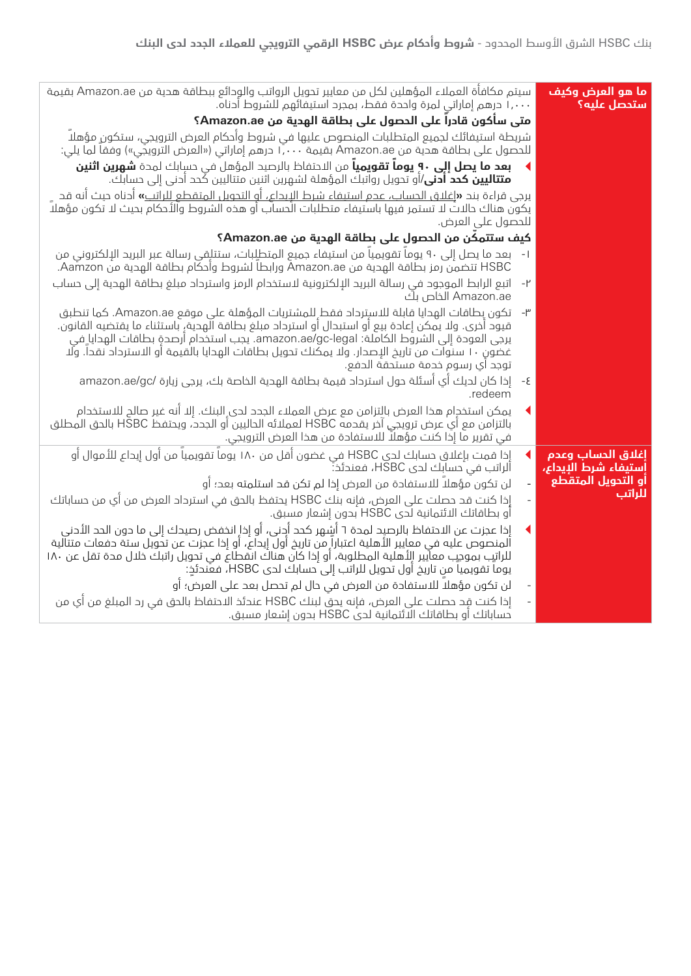| ما هو العرض وكيف<br>ستحصل عليه؟           | سيتم مكافأة العملاء المؤهلين لكل من معايير تحويل الرواتب والودائع ببطاقة هدية من Amazon.ae بقيمة<br>١,٠٠٠ درهم إماراتي لمرة واحدة فقط، بمجرد استيفائهم للشروط أدناه.                                                                                                                                                                                                                                                                                   |
|-------------------------------------------|--------------------------------------------------------------------------------------------------------------------------------------------------------------------------------------------------------------------------------------------------------------------------------------------------------------------------------------------------------------------------------------------------------------------------------------------------------|
|                                           | متى سأكون قادرا على الحصول على بطاقة الهدية من Amazon.ae؟                                                                                                                                                                                                                                                                                                                                                                                              |
|                                           | شريطة استيفائك لجميع المتطلبات المنصوص عليها في شروط وأحكام العرض الترويجي، ستكون مؤهلا<br>للحصول على بطاقة هدية من Amazon.ae بقيمة ١,٠٠٠ درهم إماراتي («العرض الترويجي») وفقا لما يلي:                                                                                                                                                                                                                                                                |
|                                           | <b>بعد ما يصل إلى ٩٠ يوماً تقويمياً</b> من الاحتفاظ بالرصيد المؤهل في حسابك لمدة <b>شهرين اثنين</b><br><b>متتاليين كحد أدنى</b> /أو تحويل رواتبك المؤهلة لشهرين اثنين متتاليين كُحد أدنى إلى حسابك.                                                                                                                                                                                                                                                    |
|                                           | يرجى قراءة بند <b>«إ</b> غلاق الحساب، عجم استيفاء شرط البيحاع، أو التحويل المتقطع للراتب» أدناه حيث أنه قد<br>يكون هناك حالاتُ لا تستمر فيها باستيفاء متطلبات الْحساب أو هذه الشروط والأحكام بحيث لا تكون مؤهلاً<br>للحصول على العرض.                                                                                                                                                                                                                  |
|                                           | كيف ستتمكن من الحصول على بطاقة الهدية من Amazon.ae؟                                                                                                                                                                                                                                                                                                                                                                                                    |
|                                           | بعد ما يصل إلى ٩٠ يوما تقويميا من استيفاء جميع المتطلِّبات، ستتلِّفي رسالة عبر البريد الإلكتروني من<br>HSBC تتضمن رمز بطاقة الهدية من Āmazon.ae ورابطاً لشروط وأحكام بطاقة الهدية من Aamzon.                                                                                                                                                                                                                                                           |
|                                           | اتبع الرابط الموجود في رسالة البريد الإلكترونية لاستخدام الرمز واسترداد مبلغ بطاقة الهدية إلى حساب<br>$-1$<br>Amazon.ae الخاص بڭ                                                                                                                                                                                                                                                                                                                       |
|                                           | تكون بطاقات الهدايا قابلة للاسترداد فقط للمشتريات المؤهلة على موقع Amazon.ae. كما تنطبق<br>$-\mathsf{I}^\mu$<br>قيود أخرى. ولا يمكن إعادة بيع أو استبدال أو استرداد مبلغ بطاقة الهدية، باستثناء ما يقتضيه القانون.<br>يرجى العودة إلى الشروط الكاملة: amazon.ae/gc-legal. يجب استخدام أرصدةٍ بطاقات الهدايا ِفي<br>غضون ١٠ سنَّوات من تاريخ الإصدار. ولا يمكنك تحويل بطاقات الهدايا بالقيمة أو الاسترداد نقدا. ولَا<br>توجد اي رسوم خدمة مستحقة الحفع. |
|                                           | إذا كان لديك أي أسئلة حول استرداد قيمة بطاقة الهدية الخاصة بك، يرجى زيارة /amazon.ae/gc<br>$-\xi$<br>.redeem                                                                                                                                                                                                                                                                                                                                           |
|                                           | يمكن استخدام هذا العرض بالتزامن مع عرض العملاء الجدد لدى البنك. إلا أنه غير صالح للاستخدام<br>بالتزامن مع أي عرض ترويجي آخر يقدمه HSBC لعملائه الحاليين أو الجدد، ويحتفظ HSBC بالحق المطلق<br>في تقرير ما إذا كنت مؤهلاً للاستفادة من هذا العرض الترويجي.                                                                                                                                                                                              |
| إغلاق الحساب وعدم<br>إستيفاء شرط الإيداع، | إذا قمت بإغلاق حسابك لحي HSBC في غضون أقل من ١٨٠ يوماً تقويمياً من أول إيداع للأموال أو<br>◀<br>الراتب في حسابك لحي HSBC، فعندئذ:                                                                                                                                                                                                                                                                                                                      |
| أو التحويل المتقطع                        | لن تكون مؤهلا للاستفادة من العرض إذا لم تكن قد استلمته بعد؛ أو                                                                                                                                                                                                                                                                                                                                                                                         |
| <u>للراتب</u>                             | إذا كنت قد حصلت على العرض، فإنه بنك HSBC يحتفظ بالحق في استرداد العرض من أي من حساباتك<br>أو بطاقاتك الائتمانية لدى HSBC بدون إشعار مسبق.                                                                                                                                                                                                                                                                                                              |
|                                           | إذا عجزت عن الاحتفاظ بالرصيد لمدة ٦ أشٍهر كحد أُدِني، أو إذاِ انخفض رصيدك إلى ما دون الحد الأدني<br>ألمنصوص عليه في معايير الأهلية اعتباراً من تاريخ أولَّ إيداع، أو إذا عجزت عن تحويل ستة دفعات متتألية<br>للراتيب بموجب معايير الأهلية المطلوبة، أو إذا كان هناكَ انقطاعٍ في تحويل راتبك خلال مدة تقل عن ١٨٠<br>يوما تقويميا من تاريخ أول تحويل للراتب إلى حسابك لحي HSBC، فعندئذ:                                                                   |
|                                           | لن تكون مؤهلا للاستفادة من العرض في حال لم تحصل بعد على العرض؛ أو                                                                                                                                                                                                                                                                                                                                                                                      |
|                                           | إذا كنت قد حصلت على العرض، فإنه يحق لبنك HSBC عندئذ الاحتفاظ بالحق في رد المبلغ من أي من<br>.<br>حساباتك أو بطاقاتك الائتمانية لحي HSBC بحون إشعار مسبق.                                                                                                                                                                                                                                                                                               |